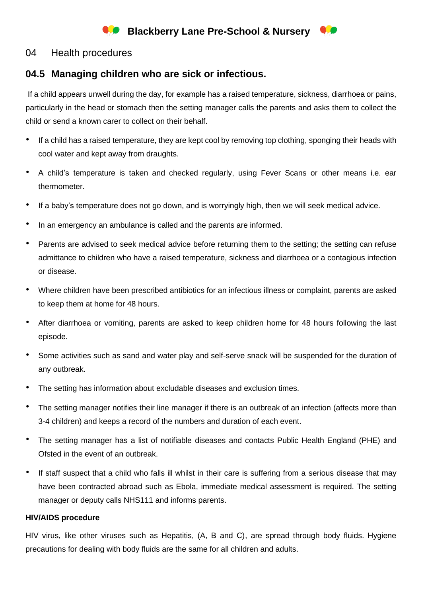# **Blackberry Lane Pre-School & Nursery Co**

### 04 Health procedures

## **04.5 Managing children who are sick or infectious.**

If a child appears unwell during the day, for example has a raised temperature, sickness, diarrhoea or pains, particularly in the head or stomach then the setting manager calls the parents and asks them to collect the child or send a known carer to collect on their behalf.

- If a child has a raised temperature, they are kept cool by removing top clothing, sponging their heads with cool water and kept away from draughts.
- A child's temperature is taken and checked regularly, using Fever Scans or other means i.e. ear thermometer.
- If a baby's temperature does not go down, and is worryingly high, then we will seek medical advice.
- In an emergency an ambulance is called and the parents are informed.
- Parents are advised to seek medical advice before returning them to the setting; the setting can refuse admittance to children who have a raised temperature, sickness and diarrhoea or a contagious infection or disease.
- Where children have been prescribed antibiotics for an infectious illness or complaint, parents are asked to keep them at home for 48 hours.
- After diarrhoea or vomiting, parents are asked to keep children home for 48 hours following the last episode.
- Some activities such as sand and water play and self-serve snack will be suspended for the duration of any outbreak.
- The setting has information about excludable diseases and exclusion times.
- The setting manager notifies their line manager if there is an outbreak of an infection (affects more than 3-4 children) and keeps a record of the numbers and duration of each event.
- The setting manager has a list of notifiable diseases and contacts Public Health England (PHE) and Ofsted in the event of an outbreak.
- If staff suspect that a child who falls ill whilst in their care is suffering from a serious disease that may have been contracted abroad such as Ebola, immediate medical assessment is required. The setting manager or deputy calls NHS111 and informs parents.

#### **HIV/AIDS procedure**

HIV virus, like other viruses such as Hepatitis, (A, B and C), are spread through body fluids. Hygiene precautions for dealing with body fluids are the same for all children and adults.